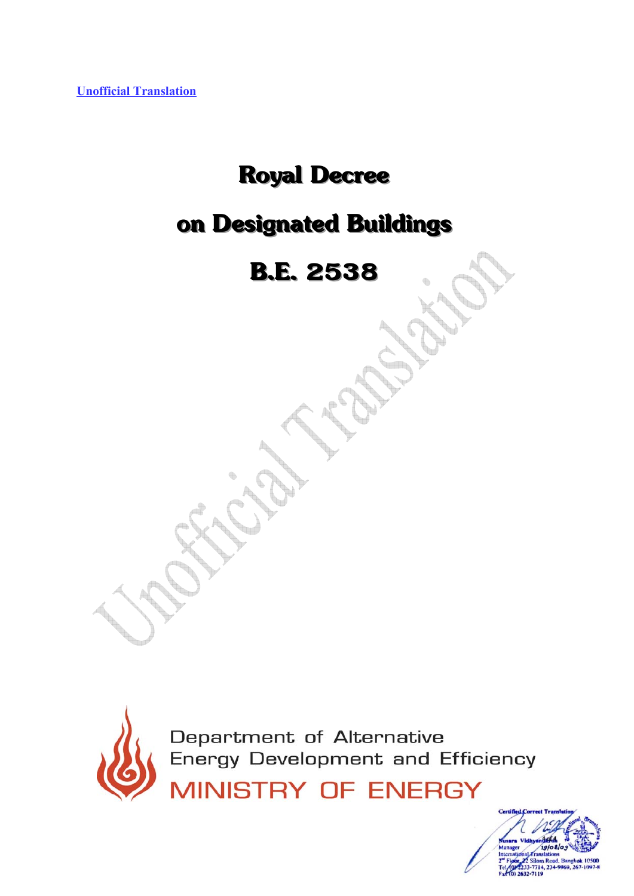**Unofficial Translation**

# **Royal Decree**

# **on Designated Buildings**

# **B.E. 2538**



Department of Alternative<br>Energy Development and Efficiency

**MINISTRY OF ENERGY** 

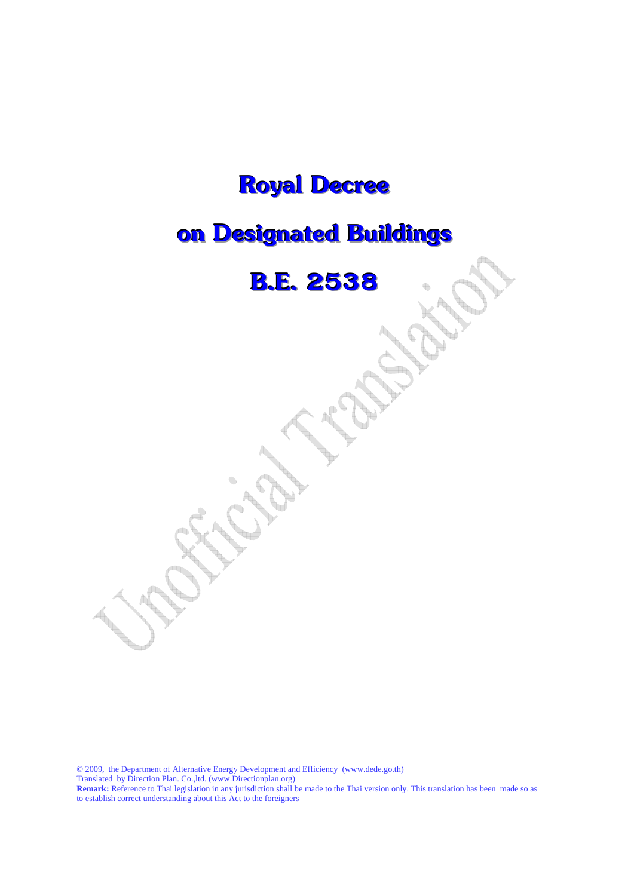## **Royal Decree**

## **on Designated Buildings**

### **B.E. 2538**

© 2009, the Department of Alternative Energy Development and Efficiency (www.dede.go.th) Translated by Direction Plan. Co.,ltd. (www.Directionplan.org) **Remark:** Reference to Thai legislation in any jurisdiction shall be made to the Thai version only. This translation has been made so as to establish correct understanding about this Act to the foreigners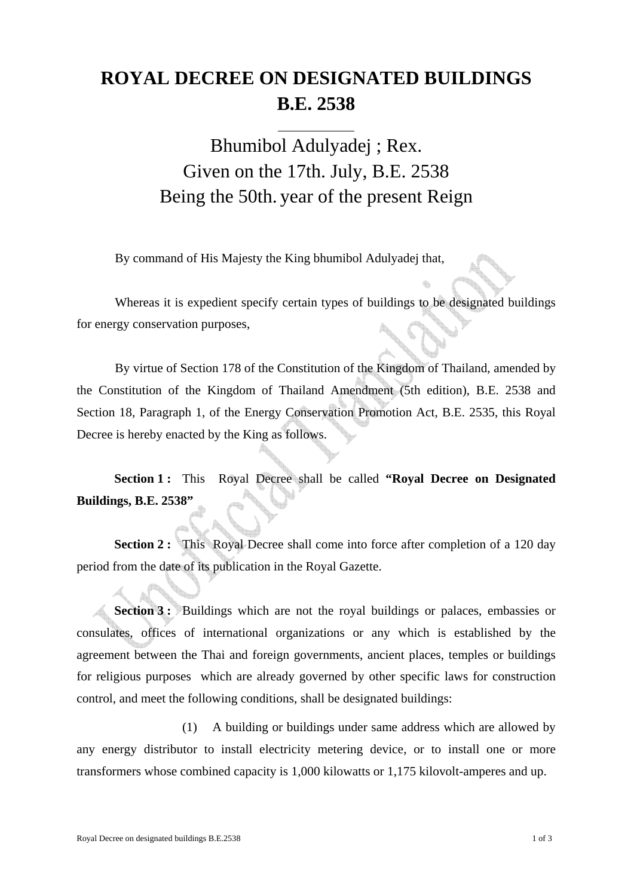#### **ROYAL DECREE ON DESIGNATED BUILDINGS B.E. 2538**

#### Bhumibol Adulyadej ; Rex. Given on the 17th. July, B.E. 2538 Being the 50th. year of the present Reign

By command of His Majesty the King bhumibol Adulyadej that,

 $\overline{a}$ 

Whereas it is expedient specify certain types of buildings to be designated buildings for energy conservation purposes,

By virtue of Section 178 of the Constitution of the Kingdom of Thailand, amended by the Constitution of the Kingdom of Thailand Amendment (5th edition), B.E. 2538 and Section 18, Paragraph 1, of the Energy Conservation Promotion Act, B.E. 2535, this Royal Decree is hereby enacted by the King as follows.

**Section 1 :** This Royal Decree shall be called **"Royal Decree on Designated Buildings, B.E. 2538** 

**Section 2 :** This Royal Decree shall come into force after completion of a 120 day period from the date of its publication in the Royal Gazette.

**Section 3 :** Buildings which are not the royal buildings or palaces, embassies or consulates, offices of international organizations or any which is established by the agreement between the Thai and foreign governments, ancient places, temples or buildings for religious purposes which are already governed by other specific laws for construction control, and meet the following conditions, shall be designated buildings:

(1) A building or buildings under same address which are allowed by any energy distributor to install electricity metering device, or to install one or more transformers whose combined capacity is 1,000 kilowatts or 1,175 kilovolt-amperes and up.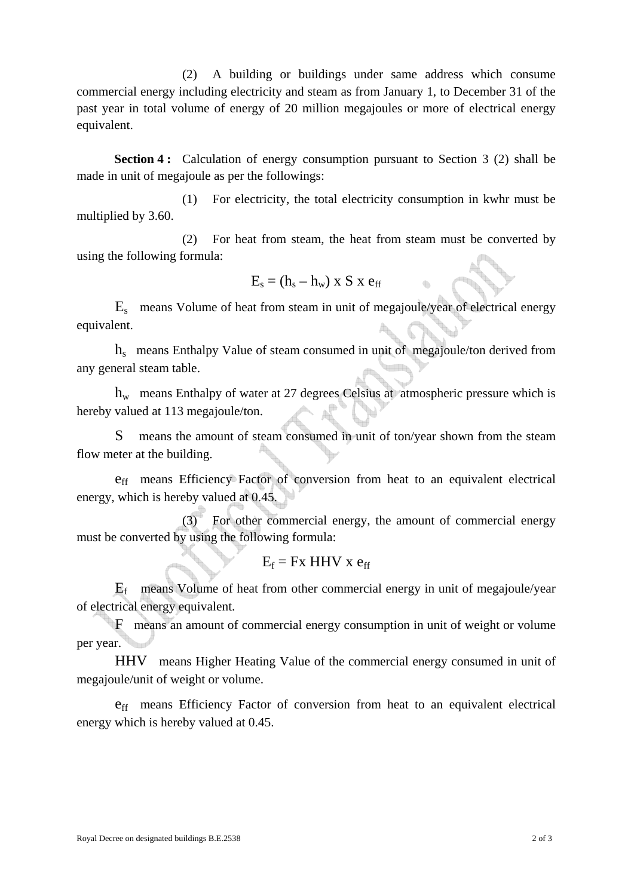(2) A building or buildings under same address which consume commercial energy including electricity and steam as from January 1, to December 31 of the past year in total volume of energy of 20 million megajoules or more of electrical energy equivalent.

**Section 4 :** Calculation of energy consumption pursuant to Section 3 (2) shall be made in unit of megajoule as per the followings:

(1) For electricity, the total electricity consumption in kwhr must be multiplied by 3.60.

(2) For heat from steam, the heat from steam must be converted by using the following formula:

$$
E_s = (h_s - h_w) \times S \times e_{ff}
$$

 $E<sub>s</sub>$  means Volume of heat from steam in unit of megajoule/year of electrical energy equivalent.

 $h<sub>s</sub>$  means Enthalpy Value of steam consumed in unit of megajoule/ton derived from any general steam table.

 $h_{w}$  means Enthalpy of water at 27 degrees Celsius at atmospheric pressure which is hereby valued at 113 megajoule/ton.

S means the amount of steam consumed in unit of ton/year shown from the steam flow meter at the building.

eff means Efficiency Factor of conversion from heat to an equivalent electrical energy, which is hereby valued at 0.45.

(3) For other commercial energy, the amount of commercial energy must be converted by using the following formula:

$$
E_f = Fx \ HHV \ x \ e_{ff}
$$

 $E_f$  means Volume of heat from other commercial energy in unit of megajoule/year of electrical energy equivalent.

 F means an amount of commercial energy consumption in unit of weight or volume per year.

 HHV means Higher Heating Value of the commercial energy consumed in unit of megajoule/unit of weight or volume.

eff means Efficiency Factor of conversion from heat to an equivalent electrical energy which is hereby valued at 0.45.